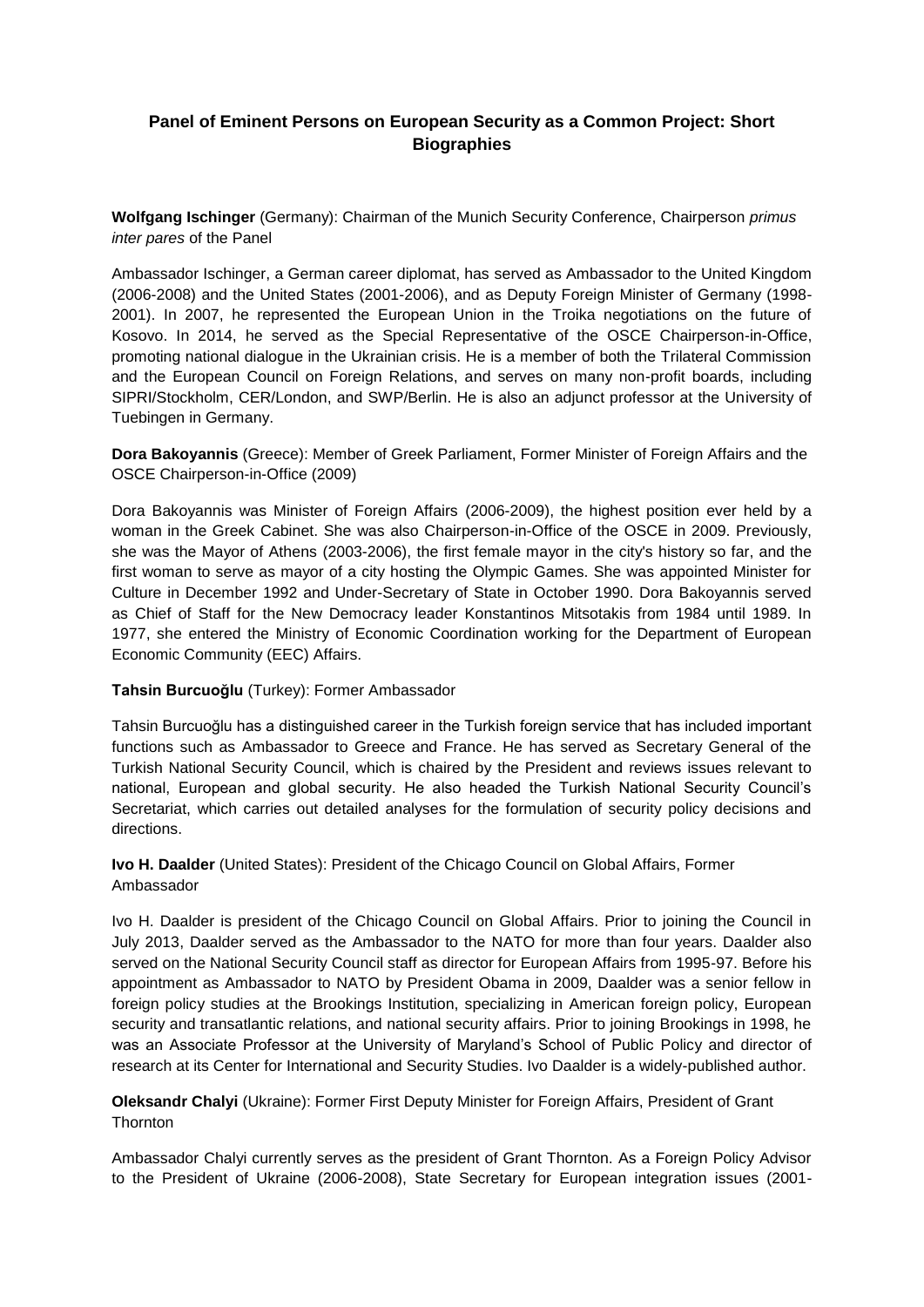# **Panel of Eminent Persons on European Security as a Common Project: Short Biographies**

**Wolfgang Ischinger** (Germany): Chairman of the Munich Security Conference, Chairperson *primus inter pares* of the Panel

Ambassador Ischinger, a German career diplomat, has served as Ambassador to the United Kingdom (2006-2008) and the United States (2001-2006), and as Deputy Foreign Minister of Germany (1998- 2001). In 2007, he represented the European Union in the Troika negotiations on the future of Kosovo. In 2014, he served as the Special Representative of the OSCE Chairperson-in-Office, promoting national dialogue in the Ukrainian crisis. He is a member of both the Trilateral Commission and the European Council on Foreign Relations, and serves on many non-profit boards, including SIPRI/Stockholm, CER/London, and SWP/Berlin. He is also an adjunct professor at the University of Tuebingen in Germany.

**Dora Bakoyannis** (Greece): Member of Greek Parliament, Former Minister of Foreign Affairs and the OSCE Chairperson-in-Office (2009)

Dora Bakoyannis was Minister of Foreign Affairs (2006-2009), the highest position ever held by a woman in the Greek Cabinet. She was also Chairperson-in-Office of the OSCE in 2009. Previously, she was the Mayor of Athens (2003-2006), the first female mayor in the city's history so far, and the first woman to serve as mayor of a city hosting the Olympic Games. She was appointed Minister for Culture in December 1992 and Under-Secretary of State in October 1990. Dora Bakoyannis served as Chief of Staff for the New Democracy leader Konstantinos Mitsotakis from 1984 until 1989. In 1977, she entered the Ministry of Economic Coordination working for the Department of European Economic Community (EEC) Affairs.

#### **Tahsin Burcuoğlu** (Turkey): Former Ambassador

Tahsin Burcuoğlu has a distinguished career in the Turkish foreign service that has included important functions such as Ambassador to Greece and France. He has served as Secretary General of the Turkish National Security Council, which is chaired by the President and reviews issues relevant to national, European and global security. He also headed the Turkish National Security Council's Secretariat, which carries out detailed analyses for the formulation of security policy decisions and directions.

## **Ivo H. Daalder** (United States): President of the Chicago Council on Global Affairs, Former Ambassador

Ivo H. Daalder is president of the Chicago Council on Global Affairs. Prior to joining the Council in July 2013, Daalder served as the Ambassador to the NATO for more than four years. Daalder also served on the National Security Council staff as director for European Affairs from 1995-97. Before his appointment as Ambassador to NATO by President Obama in 2009, Daalder was a senior fellow in foreign policy studies at the Brookings Institution, specializing in American foreign policy, European security and transatlantic relations, and national security affairs. Prior to joining Brookings in 1998, he was an Associate Professor at the University of Maryland's School of Public Policy and director of research at its Center for International and Security Studies. Ivo Daalder is a widely-published author.

## **Oleksandr Chalyi** (Ukraine): Former First Deputy Minister for Foreign Affairs, President of Grant **Thornton**

Ambassador Chalyi currently serves as the president of Grant Thornton. As a Foreign Policy Advisor to the President of Ukraine (2006-2008), State Secretary for European integration issues (2001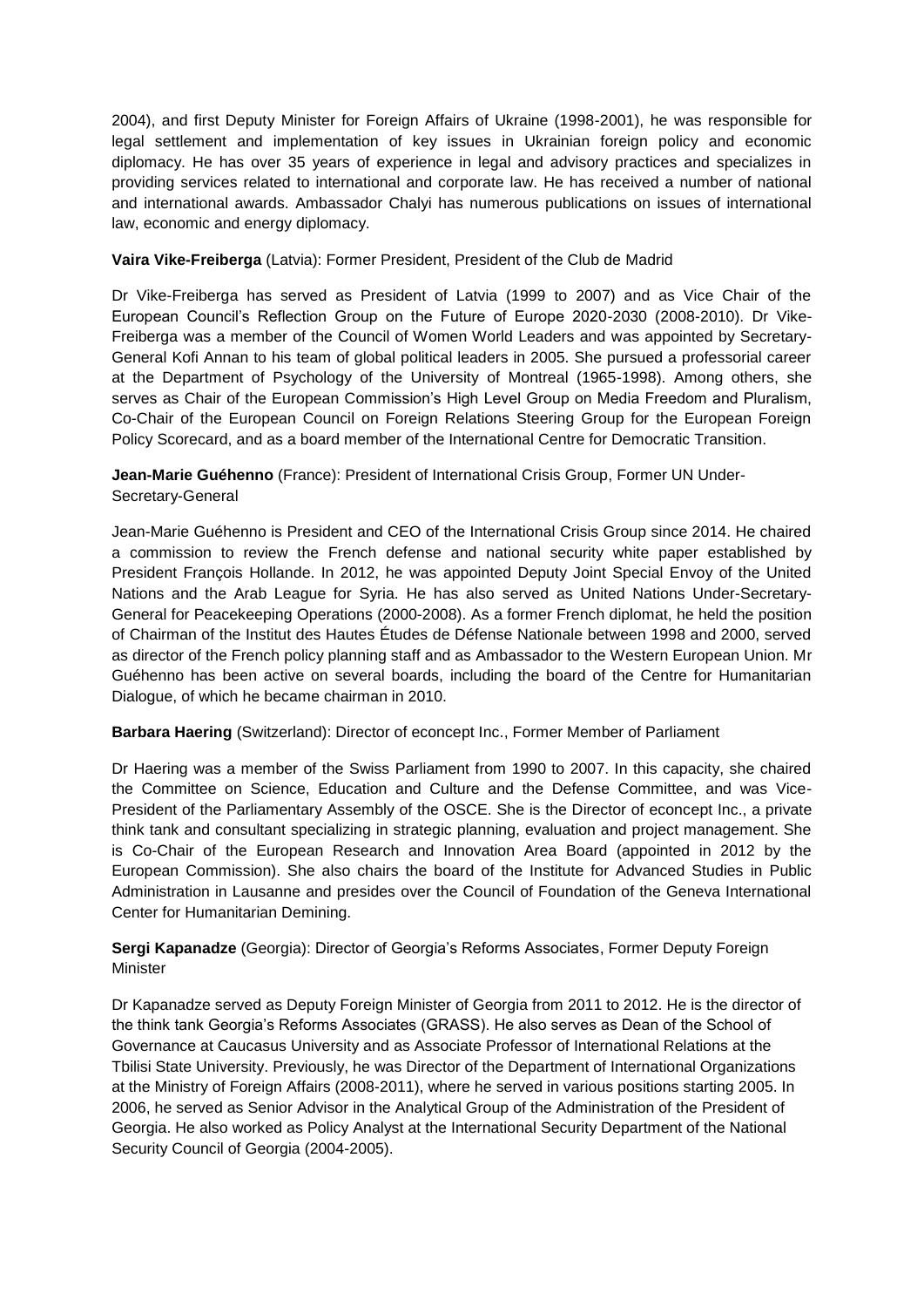2004), and first Deputy Minister for Foreign Affairs of Ukraine (1998-2001), he was responsible for legal settlement and implementation of key issues in Ukrainian foreign policy and economic diplomacy. He has over 35 years of experience in legal and advisory practices and specializes in providing services related to international and corporate law. He has received a number of national and international awards. Ambassador Chalyi has numerous publications on issues of international law, economic and energy diplomacy.

### **Vaira Vike-Freiberga** (Latvia): Former President, President of the Club de Madrid

Dr Vike-Freiberga has served as President of Latvia (1999 to 2007) and as Vice Chair of the European Council's Reflection Group on the Future of Europe 2020-2030 (2008-2010). Dr Vike-Freiberga was a member of the Council of Women World Leaders and was appointed by Secretary-General Kofi Annan to his team of global political leaders in 2005. She pursued a professorial career at the Department of Psychology of the University of Montreal (1965-1998). Among others, she serves as Chair of the European Commission's High Level Group on Media Freedom and Pluralism, Co-Chair of the European Council on Foreign Relations Steering Group for the European Foreign Policy Scorecard, and as a board member of the International Centre for Democratic Transition.

**Jean-Marie Guéhenno** (France): President of International Crisis Group, Former UN Under-Secretary-General

Jean-Marie Guéhenno is President and CEO of the International Crisis Group since 2014. He chaired a commission to review the French defense and national security white paper established by President François Hollande. In 2012, he was appointed Deputy Joint Special Envoy of the United Nations and the Arab League for Syria. He has also served as United Nations Under-Secretary-General for Peacekeeping Operations (2000-2008). As a former French diplomat, he held the position of Chairman of the Institut des Hautes Études de Défense Nationale between 1998 and 2000, served as director of the French policy planning staff and as Ambassador to the Western European Union. Mr Guéhenno has been active on several boards, including the board of the Centre for Humanitarian Dialogue, of which he became chairman in 2010.

#### **Barbara Haering** (Switzerland): Director of econcept Inc., Former Member of Parliament

Dr Haering was a member of the Swiss Parliament from 1990 to 2007. In this capacity, she chaired the Committee on Science, Education and Culture and the Defense Committee, and was Vice-President of the Parliamentary Assembly of the OSCE. She is the Director of econcept Inc., a private think tank and consultant specializing in strategic planning, evaluation and project management. She is Co-Chair of the European Research and Innovation Area Board (appointed in 2012 by the European Commission). She also chairs the board of the Institute for Advanced Studies in Public Administration in Lausanne and presides over the Council of Foundation of the Geneva International Center for Humanitarian Demining.

**Sergi Kapanadze** (Georgia): Director of Georgia's Reforms Associates, Former Deputy Foreign **Minister** 

Dr Kapanadze served as Deputy Foreign Minister of Georgia from 2011 to 2012. He is the director of the think tank Georgia's Reforms Associates (GRASS). He also serves as Dean of the School of Governance at Caucasus University and as Associate Professor of International Relations at the Tbilisi State University. Previously, he was Director of the Department of International Organizations at the Ministry of Foreign Affairs (2008-2011), where he served in various positions starting 2005. In 2006, he served as Senior Advisor in the Analytical Group of the Administration of the President of Georgia. He also worked as Policy Analyst at the International Security Department of the National Security Council of Georgia (2004-2005).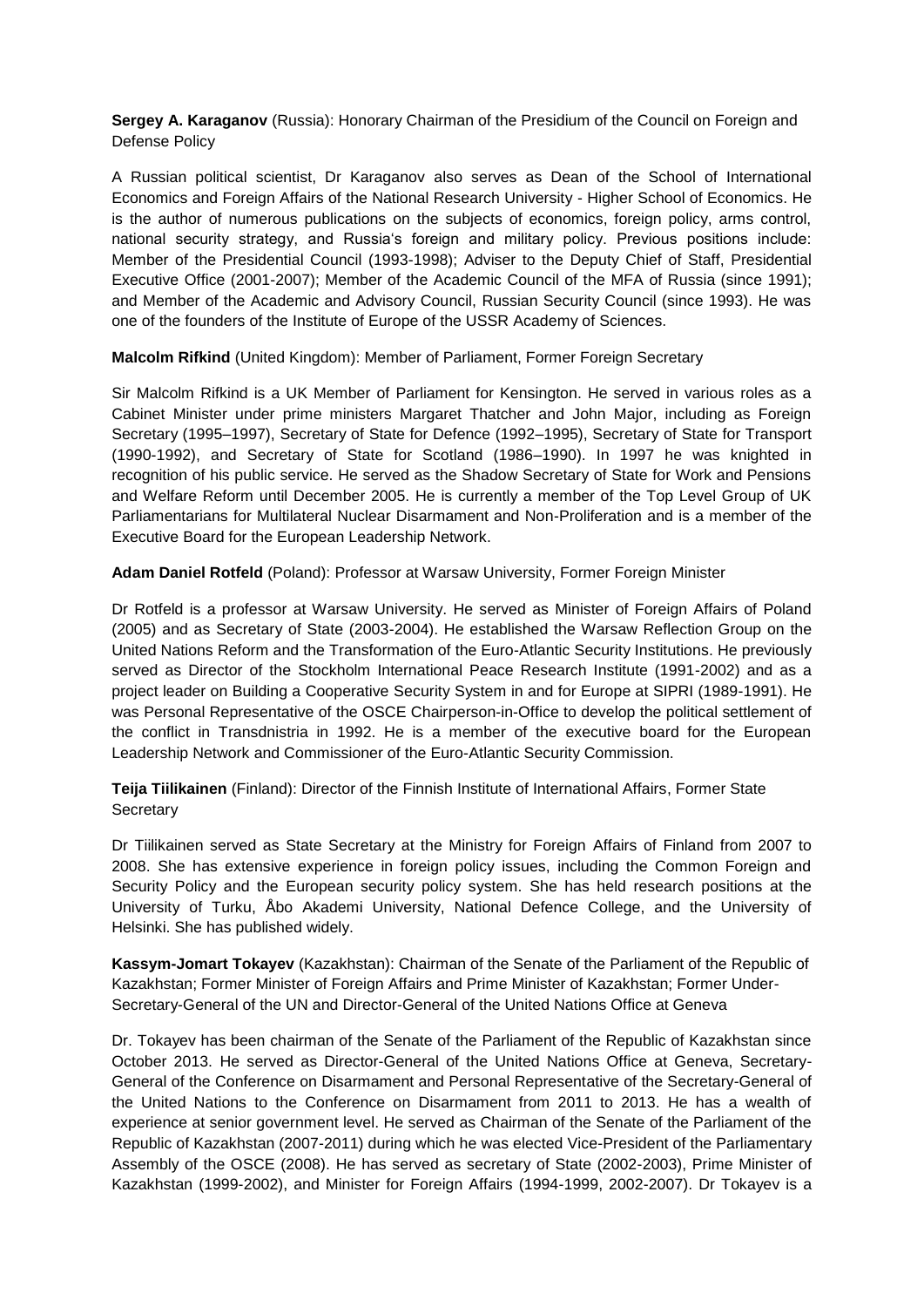**Sergey A. Karaganov** (Russia): Honorary Chairman of the Presidium of the Council on Foreign and Defense Policy

A Russian political scientist, Dr Karaganov also serves as Dean of the School of International Economics and Foreign Affairs of the National Research University - Higher School of Economics. He is the author of numerous publications on the subjects of economics, foreign policy, arms control, national security strategy, and Russia's foreign and military policy. Previous positions include: Member of the Presidential Council (1993-1998); Adviser to the Deputy Chief of Staff, Presidential Executive Office (2001-2007); Member of the Academic Council of the MFA of Russia (since 1991); and Member of the Academic and Advisory Council, Russian Security Council (since 1993). He was one of the founders of the Institute of Europe of the USSR Academy of Sciences.

**Malcolm Rifkind** (United Kingdom): Member of Parliament, Former Foreign Secretary

Sir Malcolm Rifkind is a UK Member of Parliament for Kensington. He served in various roles as a Cabinet Minister under prime ministers Margaret Thatcher and John Major, including as Foreign Secretary (1995–1997), Secretary of State for Defence (1992–1995), Secretary of State for Transport (1990-1992), and Secretary of State for Scotland (1986–1990). In 1997 he was knighted in recognition of his public service. He served as the Shadow Secretary of State for Work and Pensions and Welfare Reform until December 2005. He is currently a member of the Top Level Group of UK Parliamentarians for Multilateral Nuclear Disarmament and Non-Proliferation and is a member of the Executive Board for the European Leadership Network.

**Adam Daniel Rotfeld** (Poland): Professor at Warsaw University, Former Foreign Minister

Dr Rotfeld is a professor at Warsaw University. He served as Minister of Foreign Affairs of Poland (2005) and as Secretary of State (2003-2004). He established the Warsaw Reflection Group on the United Nations Reform and the Transformation of the Euro-Atlantic Security Institutions. He previously served as Director of the Stockholm International Peace Research Institute (1991-2002) and as a project leader on Building a Cooperative Security System in and for Europe at SIPRI (1989-1991). He was Personal Representative of the OSCE Chairperson-in-Office to develop the political settlement of the conflict in Transdnistria in 1992. He is a member of the executive board for the European Leadership Network and Commissioner of the Euro-Atlantic Security Commission.

**Teija Tiilikainen** (Finland): Director of the Finnish Institute of International Affairs, Former State **Secretary** 

Dr Tiilikainen served as State Secretary at the Ministry for Foreign Affairs of Finland from 2007 to 2008. She has extensive experience in foreign policy issues, including the Common Foreign and Security Policy and the European security policy system. She has held research positions at the University of Turku, Åbo Akademi University, National Defence College, and the University of Helsinki. She has published widely.

**Kassym-Jomart Tokayev** (Kazakhstan): Chairman of the Senate of the Parliament of the Republic of Kazakhstan; Former Minister of Foreign Affairs and Prime Minister of Kazakhstan; Former Under-Secretary-General of the UN and Director-General of the United Nations Office at Geneva

Dr. Tokayev has been chairman of the Senate of the Parliament of the Republic of Kazakhstan since October 2013. He served as Director-General of the United Nations Office at Geneva, Secretary-General of the Conference on Disarmament and Personal Representative of the Secretary-General of the United Nations to the Conference on Disarmament from 2011 to 2013. He has a wealth of experience at senior government level. He served as Chairman of the Senate of the Parliament of the Republic of Kazakhstan (2007-2011) during which he was elected Vice-President of the Parliamentary Assembly of the OSCE (2008). He has served as secretary of State (2002-2003), Prime Minister of Kazakhstan (1999-2002), and Minister for Foreign Affairs (1994-1999, 2002-2007). Dr Tokayev is a